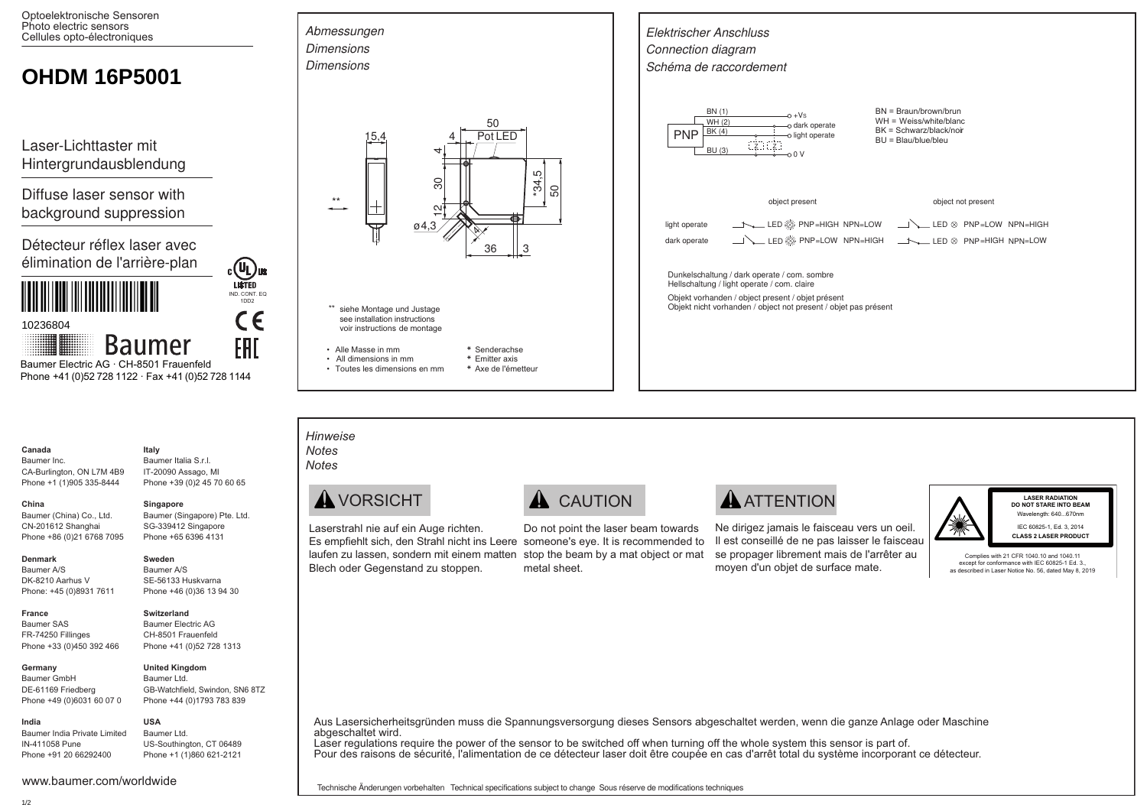Optoelektronische Sensoren Photo electric sensors Cellules opto-électroniques

# **OHDM 16P5001**

Laser-Lichttaster mit Hintergrundausblendung

Diffuse laser sensor with background suppression

Détecteur réflex laser avec élimination de l'arrière-plan



10236804

**Baumer** Baumer Electric AG · CH-8501 Frauenfeld Phone +41 (0)52 728 1122 · Fax +41 (0)52 728 1144

#### Canada **Raumer** Inc.

China

Boumer Italia S.r.I IT-20090 Assago, MI CA-Burlington, ON L7M 4B9 Phone +1 (1)905 335-8444 Phone +39 (0)2 45 70 60 65

#### Singapore

Sweden

Baumer A/S

Italy

Baumer (Singapore) Pte. Ltd. SG-339412 Singapore Phone +65 6396 4131

SE-56133 Huskvarna Phone +46 (0)36 13 94 30

**COL**US

IND. CONT. EQ

CE

FAI

#### Denmark

France

Baumer A/S DK-8210 Aarhus V Phone: +45 (0)8931 7611

Baumer (China) Co., Ltd.

Phone +86 (0)21 6768 7095

CN-201612 Shanghai

Baumer SAS FR-74250 Fillinges Phone +33 (0)450 392 466

#### Germany

Baumer GmbH DE-61169 Friedberg Phone +49 (0)6031 60 07 0

# **USA**

IN-411058 Pune Phone +91 20 66292400

# Switzerland

**Baumer Electric AG** CH-8501 Frauenfeld Phone +41 (0)52 728 1313



Baumer Ltd. GB-Watchfield Swindon SN6 8TZ Phone +44 (0)1793 783 839

# Baumer India Private Limited

Baumer Ltd. US-Southington, CT 06489 Phone +1 (1)860 621-2121







• All dimensions in mm \* Emitter axis

· Toutes les dimensions en mm \* Ave de l'émetteur



 $\blacktriangle$  VORSICHT

Hinweise **Notes** 

**Notes** 

Abmessungen

Laserstrahl nie auf ein Auge richten. Es empfiehlt sich, den Strahl nicht ins Leere someone's eve. It is recommended to laufen zu lassen, sondern mit einem matten stop the beam by a mat object or mat Blech oder Gegenstand zu stoppen.

# **A** CAUTION

Do not point the laser beam towards metal sheet

# **A** ATTENTION

Ne dirigez jamais le faisceau vers un oeil. Il est conseillé de ne pas laisser le faisceau se propager librement mais de l'arrêter au moven d'un obiet de surface mate.



Wavelength: 640...670nm IEC 60825-1, Ed. 3, 2014 **CLASS 2 LASER PRODUCT** 

Complies with 21 CFR 1040.10 and 1040.11 except for conformance with IEC 60825-1 Ed. 3 as described in Laser Notice No. 56, dated May 8, 2019

Aus Lasersicherheitsgründen muss die Spannungsversorgung dieses Sensors abgeschaltet werden, wenn die ganze Anlage oder Maschine abgeschaltet wird.

Laser regulations reguire the power of the sensor to be switched off when turning off the whole system this sensor is part of. Pour des raisons de sécurité, l'alimentation de ce détecteur laser doit être coupée en cas d'arrêt total du système incorporant ce détecteur.

Technische Änderungen vorbehalten Technical specifications subject to change Sous réserve de modifications techniques

India